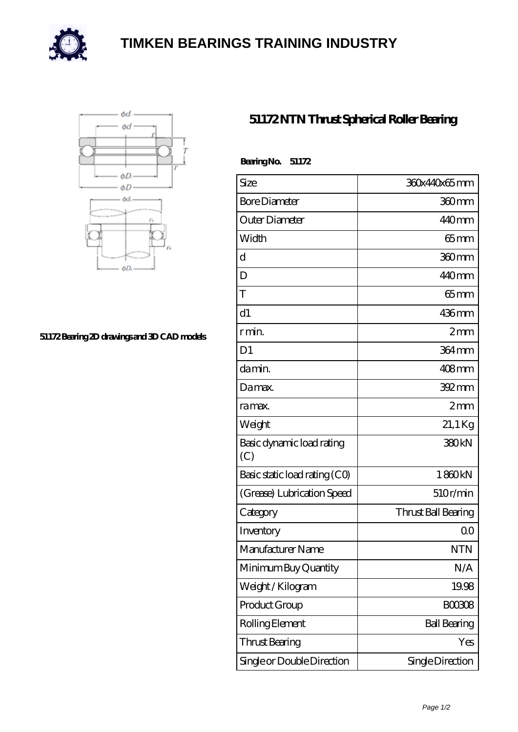

## **[TIMKEN BEARINGS TRAINING INDUSTRY](https://internationaldrugdiscovery.com)**



## **[51172 Bearing 2D drawings and 3D CAD models](https://internationaldrugdiscovery.com/pic-920266.html)**

## **[51172 NTN Thrust Spherical Roller Bearing](https://internationaldrugdiscovery.com/thrust-spherical-roller-bearing/51172.html)**

| BearingNo.<br>51172              |                     |
|----------------------------------|---------------------|
| Size                             | 360x440x65mm        |
| <b>Bore Diameter</b>             | 360mm               |
| Outer Diameter                   | 440mm               |
| Width                            | $65$ mm             |
| d                                | 360mm               |
| D                                | 440mm               |
| T                                | $65$ mm             |
| d1                               | $436$ mm            |
| r min.                           | 2mm                 |
| D <sub>1</sub>                   | 364 mm              |
| da min.                          | $408$ mm            |
| Damax.                           | $392 \,\mathrm{mm}$ |
| ra max.                          | 2mm                 |
| Weight                           | 21,1 Kg             |
| Basic dynamic load rating<br>(C) | 380 <sub>kN</sub>   |
| Basic static load rating (CO)    | 1860kN              |
| (Grease) Lubrication Speed       | 510r/min            |
| Category                         | Thrust Ball Bearing |
| Inventory                        | 0 <sup>0</sup>      |
| Manufacturer Name                | <b>NTN</b>          |
| Minimum Buy Quantity             | N/A                 |
| Weight/Kilogram                  | 19.98               |
| Product Group                    | <b>BOO3O8</b>       |
| Rolling Element                  | <b>Ball Bearing</b> |
| <b>Thrust Bearing</b>            | Yes                 |
| Single or Double Direction       | Single Direction    |